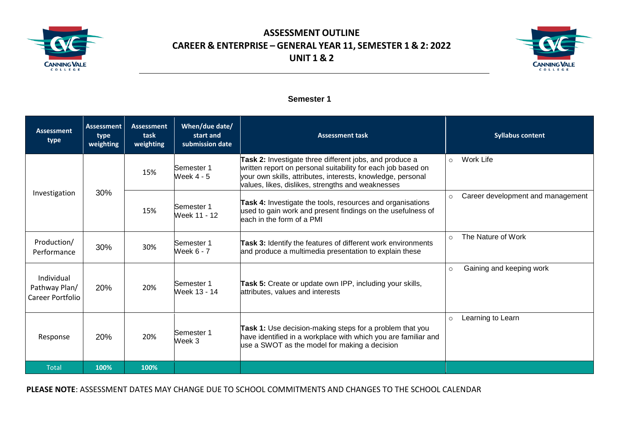

## **ASSESSMENT OUTLINE CAREER & ENTERPRISE – GENERAL YEAR 11, SEMESTER 1 & 2: 2022 UNIT 1 & 2**



## **Semester 1**

| <b>Assessment</b><br>type                              | <b>Assessment</b><br>type<br>weighting | <b>Assessment</b><br>task<br>weighting | When/due date/<br>start and<br>submission date | <b>Assessment task</b>                                                                                                                                                                                                                      |         | <b>Syllabus content</b>           |
|--------------------------------------------------------|----------------------------------------|----------------------------------------|------------------------------------------------|---------------------------------------------------------------------------------------------------------------------------------------------------------------------------------------------------------------------------------------------|---------|-----------------------------------|
| Investigation                                          | 30%                                    | 15%                                    | Semester 1<br><b>Week 4 - 5</b>                | Task 2: Investigate three different jobs, and produce a<br>written report on personal suitability for each job based on<br>your own skills, attributes, interests, knowledge, personal<br>values, likes, dislikes, strengths and weaknesses | $\circ$ | Work Life                         |
|                                                        |                                        | 15%                                    | Semester 1<br>Week 11 - 12                     | Task 4: Investigate the tools, resources and organisations<br>used to gain work and present findings on the usefulness of<br>each in the form of a PMI                                                                                      | $\circ$ | Career development and management |
| Production/<br>Performance                             | 30%                                    | 30%                                    | Semester 1<br>Week 6 - 7                       | Task 3: Identify the features of different work environments<br>and produce a multimedia presentation to explain these                                                                                                                      | $\circ$ | The Nature of Work                |
| Individual<br>Pathway Plan/<br><b>Career Portfolio</b> | 20%                                    | 20%                                    | Semester 1<br>Week 13 - 14                     | Task 5: Create or update own IPP, including your skills,<br>attributes, values and interests                                                                                                                                                | $\circ$ | Gaining and keeping work          |
| Response                                               | 20%                                    | 20%                                    | Semester 1<br>Week 3                           | Task 1: Use decision-making steps for a problem that you<br>have identified in a workplace with which you are familiar and<br>use a SWOT as the model for making a decision                                                                 | $\circ$ | Learning to Learn                 |
| <b>Total</b>                                           | 100%                                   | 100%                                   |                                                |                                                                                                                                                                                                                                             |         |                                   |

**PLEASE NOTE**: ASSESSMENT DATES MAY CHANGE DUE TO SCHOOL COMMITMENTS AND CHANGES TO THE SCHOOL CALENDAR